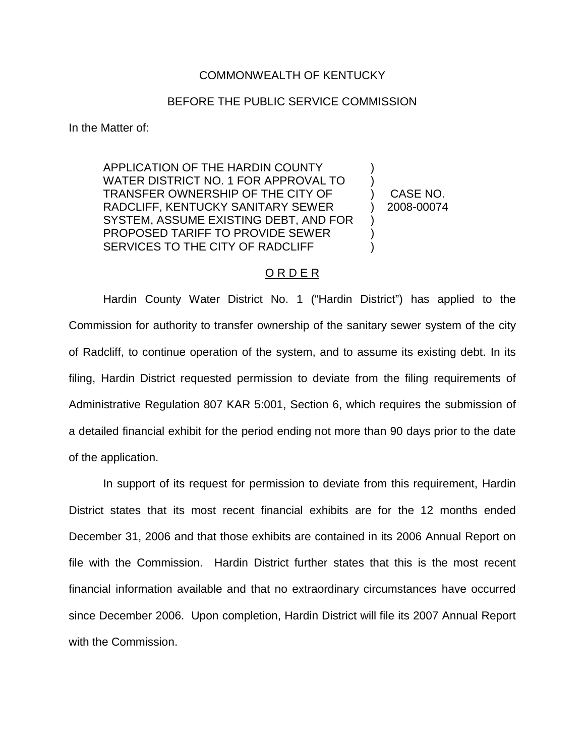## COMMONWEALTH OF KENTUCKY

## BEFORE THE PUBLIC SERVICE COMMISSION

In the Matter of:

APPLICATION OF THE HARDIN COUNTY WATER DISTRICT NO. 1 FOR APPROVAL TO TRANSFER OWNERSHIP OF THE CITY OF RADCLIFF, KENTUCKY SANITARY SEWER SYSTEM, ASSUME EXISTING DEBT, AND FOR PROPOSED TARIFF TO PROVIDE SEWER SERVICES TO THE CITY OF RADCLIFF

) CASE NO. ) 2008-00074

) )

)  $\lambda$ )

## O R D E R

Hardin County Water District No. 1 ("Hardin District") has applied to the Commission for authority to transfer ownership of the sanitary sewer system of the city of Radcliff, to continue operation of the system, and to assume its existing debt. In its filing, Hardin District requested permission to deviate from the filing requirements of Administrative Regulation 807 KAR 5:001, Section 6, which requires the submission of a detailed financial exhibit for the period ending not more than 90 days prior to the date of the application.

In support of its request for permission to deviate from this requirement, Hardin District states that its most recent financial exhibits are for the 12 months ended December 31, 2006 and that those exhibits are contained in its 2006 Annual Report on file with the Commission. Hardin District further states that this is the most recent financial information available and that no extraordinary circumstances have occurred since December 2006. Upon completion, Hardin District will file its 2007 Annual Report with the Commission.